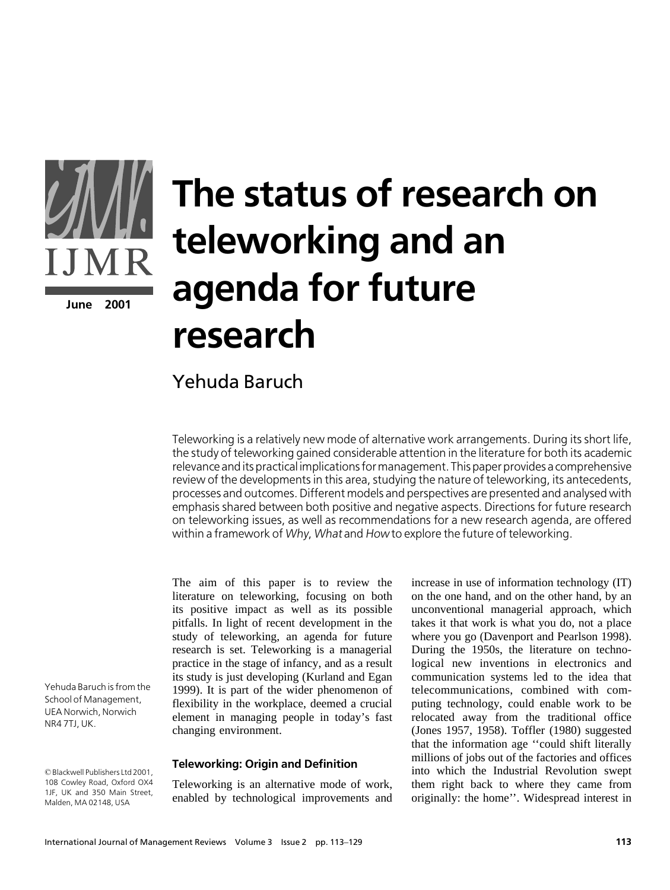

June 2001

# The status of research on teleworking and an agenda for future research

# Yehuda Baruch

Teleworking is a relatively new mode of alternative work arrangements. During its short life, the study of teleworking gained considerable attention in the literature for both its academic relevance and its practical implications formanagement. This paper provides a comprehensive review of the developments in this area, studying the nature of teleworking, its antecedents, processes and outcomes. Different models and perspectives are presented and analysed with emphasis shared between both positive and negative aspects. Directions for future research on teleworking issues, as well as recommendations for a new research agenda, are offered within a framework of Why, What and How to explore the future of teleworking.

The aim of this paper is to review the literature on teleworking, focusing on both its positive impact as well as its possible pitfalls. In light of recent development in the study of teleworking, an agenda for future research is set. Teleworking is a managerial practice in the stage of infancy, and as a result its study is just developing (Kurland and Egan 1999). It is part of the wider phenomenon of flexibility in the workplace, deemed a crucial element in managing people in today's fast changing environment.

# Teleworking: Origin and Definition

Teleworking is an alternative mode of work, enabled by technological improvements and increase in use of information technology (IT) on the one hand, and on the other hand, by an unconventional managerial approach, which takes it that work is what you do, not a place where you go (Davenport and Pearlson 1998). During the 1950s, the literature on technological new inventions in electronics and communication systems led to the idea that telecommunications, combined with computing technology, could enable work to be relocated away from the traditional office (Jones 1957, 1958). Toffler (1980) suggested that the information age ''could shift literally millions of jobs out of the factories and offices into which the Industrial Revolution swept them right back to where they came from originally: the home''. Widespread interest in

Yehuda Baruch is from the School of Management, UEA Norwich, Norwich NR4 7TJ, UK.

ß Blackwell Publishers Ltd 2001, 108 Cowley Road, Oxford OX4 1JF, UK and 350 Main Street, Malden, MA 02148, USA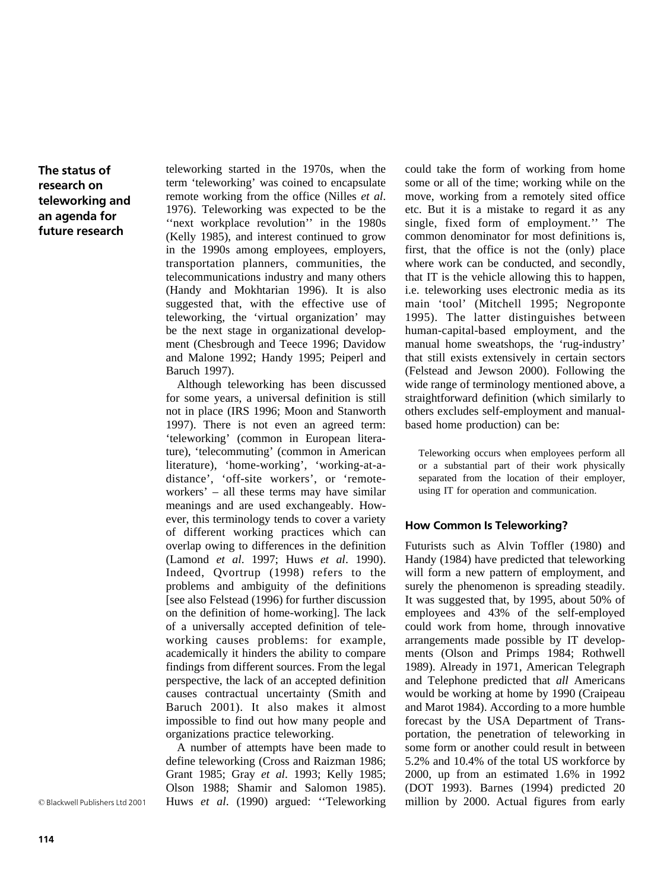teleworking started in the 1970s, when the term 'teleworking' was coined to encapsulate remote working from the office (Nilles *et al*. 1976). Teleworking was expected to be the "next workplace revolution" in the 1980s (Kelly 1985), and interest continued to grow in the 1990s among employees, employers, transportation planners, communities, the telecommunications industry and many others (Handy and Mokhtarian 1996). It is also suggested that, with the effective use of teleworking, the 'virtual organization' may be the next stage in organizational development (Chesbrough and Teece 1996; Davidow and Malone 1992; Handy 1995; Peiperl and Baruch 1997).

Although teleworking has been discussed for some years, a universal definition is still not in place (IRS 1996; Moon and Stanworth 1997). There is not even an agreed term: 'teleworking' (common in European literature), 'telecommuting' (common in American literature), 'home-working', 'working-at-adistance', 'off-site workers', or 'remoteworkers' – all these terms may have similar meanings and are used exchangeably. However, this terminology tends to cover a variety of different working practices which can overlap owing to differences in the definition (Lamond *et al*. 1997; Huws *et al*. 1990). Indeed, Qvortrup (1998) refers to the problems and ambiguity of the definitions [see also Felstead (1996) for further discussion on the definition of home-working]. The lack of a universally accepted definition of teleworking causes problems: for example, academically it hinders the ability to compare findings from different sources. From the legal perspective, the lack of an accepted definition causes contractual uncertainty (Smith and Baruch 2001). It also makes it almost impossible to find out how many people and organizations practice teleworking.

A number of attempts have been made to define teleworking (Cross and Raizman 1986; Grant 1985; Gray *et al*. 1993; Kelly 1985; Olson 1988; Shamir and Salomon 1985). Huws *et al*. (1990) argued: ''Teleworking could take the form of working from home some or all of the time; working while on the move, working from a remotely sited office etc. But it is a mistake to regard it as any single, fixed form of employment.'' The common denominator for most definitions is, first, that the office is not the (only) place where work can be conducted, and secondly, that IT is the vehicle allowing this to happen, i.e. teleworking uses electronic media as its main 'tool' (Mitchell 1995; Negroponte 1995). The latter distinguishes between human-capital-based employment, and the manual home sweatshops, the 'rug-industry' that still exists extensively in certain sectors (Felstead and Jewson 2000). Following the wide range of terminology mentioned above, a straightforward definition (which similarly to others excludes self-employment and manualbased home production) can be:

Teleworking occurs when employees perform all or a substantial part of their work physically separated from the location of their employer, using IT for operation and communication.

# How Common Is Teleworking?

Futurists such as Alvin Toffler (1980) and Handy (1984) have predicted that teleworking will form a new pattern of employment, and surely the phenomenon is spreading steadily. It was suggested that, by 1995, about 50% of employees and 43% of the self-employed could work from home, through innovative arrangements made possible by IT developments (Olson and Primps 1984; Rothwell 1989). Already in 1971, American Telegraph and Telephone predicted that *all* Americans would be working at home by 1990 (Craipeau and Marot 1984). According to a more humble forecast by the USA Department of Transportation, the penetration of teleworking in some form or another could result in between 5.2% and 10.4% of the total US workforce by 2000, up from an estimated 1.6% in 1992 (DOT 1993). Barnes (1994) predicted 20 million by 2000. Actual figures from early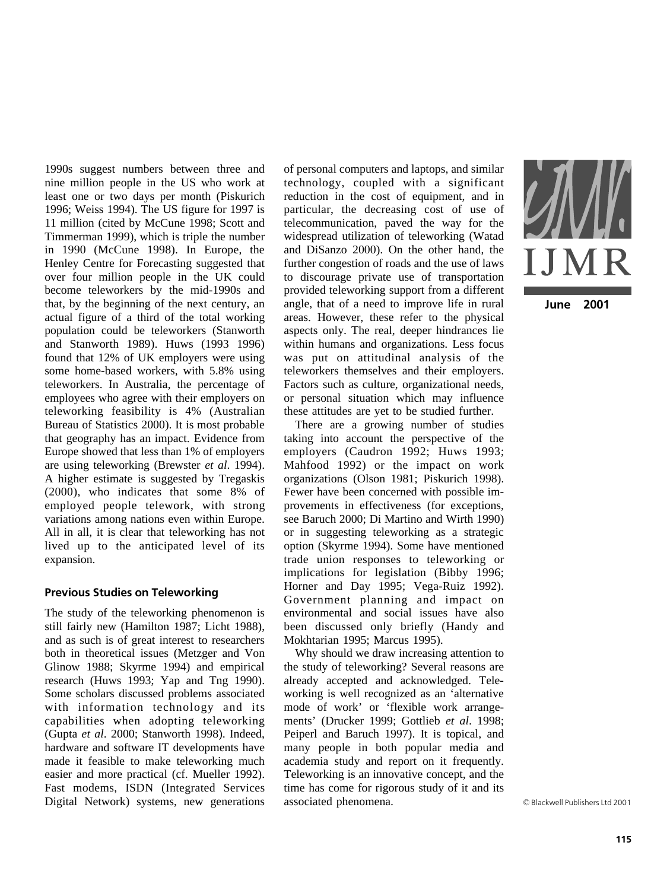1990s suggest numbers between three and nine million people in the US who work at least one or two days per month (Piskurich 1996; Weiss 1994). The US figure for 1997 is 11 million (cited by McCune 1998; Scott and Timmerman 1999), which is triple the number in 1990 (McCune 1998). In Europe, the Henley Centre for Forecasting suggested that over four million people in the UK could become teleworkers by the mid-1990s and that, by the beginning of the next century, an actual figure of a third of the total working population could be teleworkers (Stanworth and Stanworth 1989). Huws (1993 1996) found that 12% of UK employers were using some home-based workers, with 5.8% using teleworkers. In Australia, the percentage of employees who agree with their employers on teleworking feasibility is 4% (Australian Bureau of Statistics 2000). It is most probable that geography has an impact. Evidence from Europe showed that less than 1% of employers are using teleworking (Brewster *et al*. 1994). A higher estimate is suggested by Tregaskis (2000), who indicates that some 8% of employed people telework, with strong variations among nations even within Europe. All in all, it is clear that teleworking has not lived up to the anticipated level of its expansion.

# Previous Studies on Teleworking

The study of the teleworking phenomenon is still fairly new (Hamilton 1987; Licht 1988), and as such is of great interest to researchers both in theoretical issues (Metzger and Von Glinow 1988; Skyrme 1994) and empirical research (Huws 1993; Yap and Tng 1990). Some scholars discussed problems associated with information technology and its capabilities when adopting teleworking (Gupta *et al*. 2000; Stanworth 1998). Indeed, hardware and software IT developments have made it feasible to make teleworking much easier and more practical (cf. Mueller 1992). Fast modems, ISDN (Integrated Services Digital Network) systems, new generations of personal computers and laptops, and similar technology, coupled with a significant reduction in the cost of equipment, and in particular, the decreasing cost of use of telecommunication, paved the way for the widespread utilization of teleworking (Watad and DiSanzo 2000). On the other hand, the further congestion of roads and the use of laws to discourage private use of transportation provided teleworking support from a different angle, that of a need to improve life in rural areas. However, these refer to the physical aspects only. The real, deeper hindrances lie within humans and organizations. Less focus was put on attitudinal analysis of the teleworkers themselves and their employers. Factors such as culture, organizational needs, or personal situation which may influence these attitudes are yet to be studied further.

There are a growing number of studies taking into account the perspective of the employers (Caudron 1992; Huws 1993; Mahfood 1992) or the impact on work organizations (Olson 1981; Piskurich 1998). Fewer have been concerned with possible improvements in effectiveness (for exceptions, see Baruch 2000; Di Martino and Wirth 1990) or in suggesting teleworking as a strategic option (Skyrme 1994). Some have mentioned trade union responses to teleworking or implications for legislation (Bibby 1996; Horner and Day 1995; Vega-Ruiz 1992). Government planning and impact on environmental and social issues have also been discussed only briefly (Handy and Mokhtarian 1995; Marcus 1995).

Why should we draw increasing attention to the study of teleworking? Several reasons are already accepted and acknowledged. Teleworking is well recognized as an 'alternative mode of work' or 'flexible work arrangements' (Drucker 1999; Gottlieb *et al*. 1998; Peiperl and Baruch 1997). It is topical, and many people in both popular media and academia study and report on it frequently. Teleworking is an innovative concept, and the time has come for rigorous study of it and its associated phenomena.



June 2001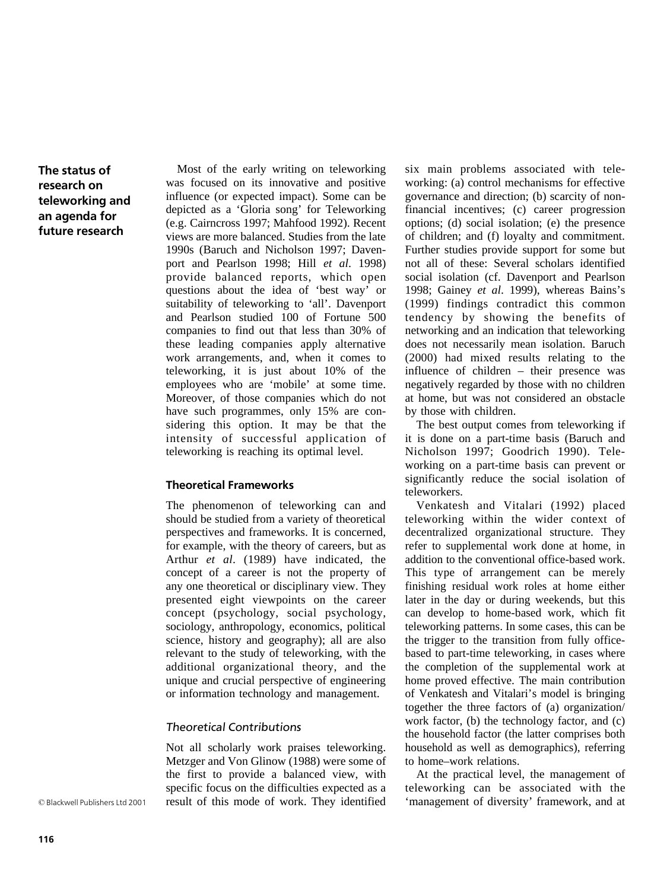Most of the early writing on teleworking was focused on its innovative and positive influence (or expected impact). Some can be depicted as a 'Gloria song' for Teleworking (e.g. Cairncross 1997; Mahfood 1992). Recent views are more balanced. Studies from the late 1990s (Baruch and Nicholson 1997; Davenport and Pearlson 1998; Hill *et al*. 1998) provide balanced reports, which open questions about the idea of 'best way' or suitability of teleworking to 'all'. Davenport and Pearlson studied 100 of Fortune 500 companies to find out that less than 30% of these leading companies apply alternative work arrangements, and, when it comes to teleworking, it is just about 10% of the employees who are 'mobile' at some time. Moreover, of those companies which do not have such programmes, only 15% are considering this option. It may be that the intensity of successful application of teleworking is reaching its optimal level.

# Theoretical Frameworks

The phenomenon of teleworking can and should be studied from a variety of theoretical perspectives and frameworks. It is concerned, for example, with the theory of careers, but as Arthur *et al*. (1989) have indicated, the concept of a career is not the property of any one theoretical or disciplinary view. They presented eight viewpoints on the career concept (psychology, social psychology, sociology, anthropology, economics, political science, history and geography); all are also relevant to the study of teleworking, with the additional organizational theory, and the unique and crucial perspective of engineering or information technology and management.

#### Theoretical Contributions

Not all scholarly work praises teleworking. Metzger and Von Glinow (1988) were some of the first to provide a balanced view, with specific focus on the difficulties expected as a result of this mode of work. They identified six main problems associated with teleworking: (a) control mechanisms for effective governance and direction; (b) scarcity of nonfinancial incentives; (c) career progression options; (d) social isolation; (e) the presence of children; and (f) loyalty and commitment. Further studies provide support for some but not all of these: Several scholars identified social isolation (cf. Davenport and Pearlson 1998; Gainey *et al*. 1999), whereas Bains's (1999) findings contradict this common tendency by showing the benefits of networking and an indication that teleworking does not necessarily mean isolation. Baruch (2000) had mixed results relating to the influence of children – their presence was negatively regarded by those with no children at home, but was not considered an obstacle by those with children.

The best output comes from teleworking if it is done on a part-time basis (Baruch and Nicholson 1997; Goodrich 1990). Teleworking on a part-time basis can prevent or significantly reduce the social isolation of teleworkers.

Venkatesh and Vitalari (1992) placed teleworking within the wider context of decentralized organizational structure. They refer to supplemental work done at home, in addition to the conventional office-based work. This type of arrangement can be merely finishing residual work roles at home either later in the day or during weekends, but this can develop to home-based work, which fit teleworking patterns. In some cases, this can be the trigger to the transition from fully officebased to part-time teleworking, in cases where the completion of the supplemental work at home proved effective. The main contribution of Venkatesh and Vitalari's model is bringing together the three factors of (a) organization/ work factor, (b) the technology factor, and (c) the household factor (the latter comprises both household as well as demographics), referring to home–work relations.

At the practical level, the management of teleworking can be associated with the 'management of diversity' framework, and at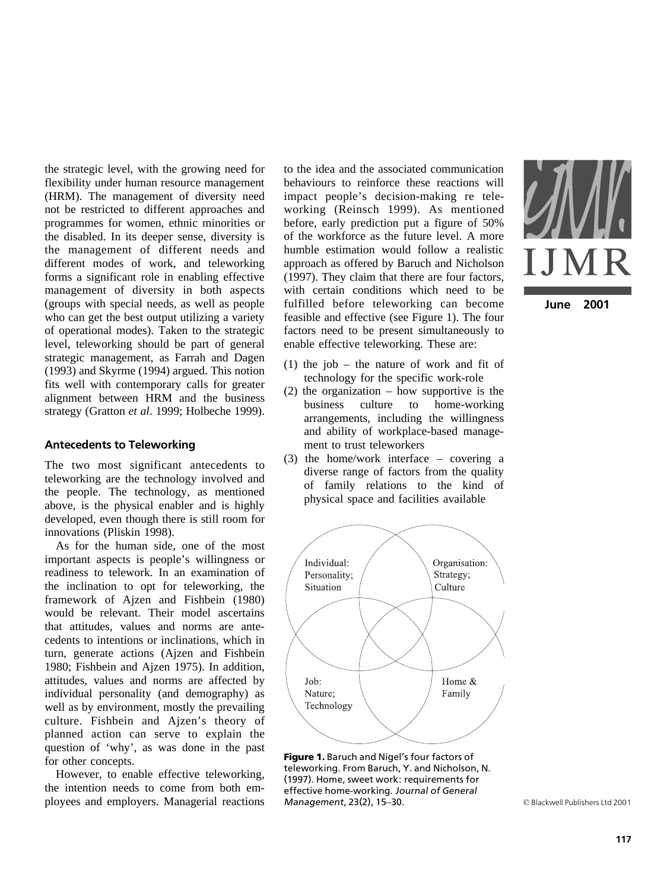the strategic level, with the growing need for flexibility under human resource management (HRM). The management of diversity need not be restricted to different approaches and programmes for women, ethnic minorities or the disabled. In its deeper sense, diversity is the management of different needs and different modes of work, and teleworking forms a significant role in enabling effective management of diversity in both aspects (groups with special needs, as well as people who can get the best output utilizing a variety of operational modes). Taken to the strategic level, teleworking should be part of general strategic management, as Farrah and Dagen (1993) and Skyrme (1994) argued. This notion fits well with contemporary calls for greater alignment between HRM and the business strategy (Gratton *et al*. 1999; Holbeche 1999).

#### Antecedents to Teleworking

The two most significant antecedents to teleworking are the technology involved and the people. The technology, as mentioned above, is the physical enabler and is highly developed, even though there is still room for innovations (Pliskin 1998).

As for the human side, one of the most important aspects is people's willingness or readiness to telework. In an examination of the inclination to opt for teleworking, the framework of Ajzen and Fishbein (1980) would be relevant. Their model ascertains that attitudes, values and norms are antecedents to intentions or inclinations, which in turn, generate actions (Ajzen and Fishbein 1980; Fishbein and Ajzen 1975). In addition, attitudes, values and norms are affected by individual personality (and demography) as well as by environment, mostly the prevailing culture. Fishbein and Ajzen's theory of planned action can serve to explain the question of 'why', as was done in the past for other concepts.

However, to enable effective teleworking, the intention needs to come from both employees and employers. Managerial reactions to the idea and the associated communication behaviours to reinforce these reactions will impact people's decision-making re teleworking (Reinsch 1999). As mentioned before, early prediction put a figure of 50% of the workforce as the future level. A more humble estimation would follow a realistic approach as offered by Baruch and Nicholson (1997). They claim that there are four factors, with certain conditions which need to be fulfilled before teleworking can become feasible and effective (see Figure 1). The four factors need to be present simultaneously to enable effective teleworking. These are:

- (1) the job the nature of work and fit of technology for the specific work-role
- (2) the organization how supportive is the business culture to home-working arrangements, including the willingness and ability of workplace-based management to trust teleworkers
- (3) the home/work interface covering a diverse range of factors from the quality of family relations to the kind of physical space and facilities available



Figure 1. Baruch and Nigel's four factors of teleworking. From Baruch, Y. and Nicholson, N. (1997). Home, sweet work: requirements for effective home-working. Journal of General Management, 23(2), 15*–*30.



June 2001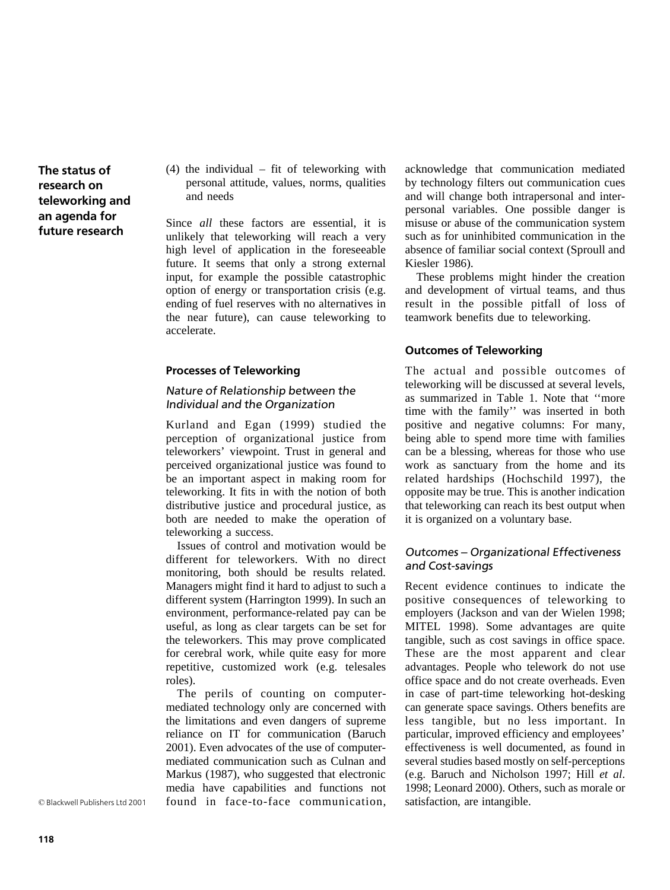(4) the individual – fit of teleworking with personal attitude, values, norms, qualities and needs

Since *all* these factors are essential, it is unlikely that teleworking will reach a very high level of application in the foreseeable future. It seems that only a strong external input, for example the possible catastrophic option of energy or transportation crisis (e.g. ending of fuel reserves with no alternatives in the near future), can cause teleworking to accelerate.

#### Processes of Teleworking

# Nature of Relationship between the Individual and the Organization

Kurland and Egan (1999) studied the perception of organizational justice from teleworkers' viewpoint. Trust in general and perceived organizational justice was found to be an important aspect in making room for teleworking. It fits in with the notion of both distributive justice and procedural justice, as both are needed to make the operation of teleworking a success.

Issues of control and motivation would be different for teleworkers. With no direct monitoring, both should be results related. Managers might find it hard to adjust to such a different system (Harrington 1999). In such an environment, performance-related pay can be useful, as long as clear targets can be set for the teleworkers. This may prove complicated for cerebral work, while quite easy for more repetitive, customized work (e.g. telesales roles).

The perils of counting on computermediated technology only are concerned with the limitations and even dangers of supreme reliance on IT for communication (Baruch 2001). Even advocates of the use of computermediated communication such as Culnan and Markus (1987), who suggested that electronic media have capabilities and functions not found in face-to-face communication,

acknowledge that communication mediated by technology filters out communication cues and will change both intrapersonal and interpersonal variables. One possible danger is misuse or abuse of the communication system such as for uninhibited communication in the absence of familiar social context (Sproull and Kiesler 1986).

These problems might hinder the creation and development of virtual teams, and thus result in the possible pitfall of loss of teamwork benefits due to teleworking.

#### Outcomes of Teleworking

The actual and possible outcomes of teleworking will be discussed at several levels, as summarized in Table 1. Note that ''more time with the family'' was inserted in both positive and negative columns: For many, being able to spend more time with families can be a blessing, whereas for those who use work as sanctuary from the home and its related hardships (Hochschild 1997), the opposite may be true. This is another indication that teleworking can reach its best output when it is organized on a voluntary base.

# Outcomes - Organizational Effectiveness and Cost-savings

Recent evidence continues to indicate the positive consequences of teleworking to employers (Jackson and van der Wielen 1998; MITEL 1998). Some advantages are quite tangible, such as cost savings in office space. These are the most apparent and clear advantages. People who telework do not use office space and do not create overheads. Even in case of part-time teleworking hot-desking can generate space savings. Others benefits are less tangible, but no less important. In particular, improved efficiency and employees' effectiveness is well documented, as found in several studies based mostly on self-perceptions (e.g. Baruch and Nicholson 1997; Hill *et al*. 1998; Leonard 2000). Others, such as morale or satisfaction, are intangible.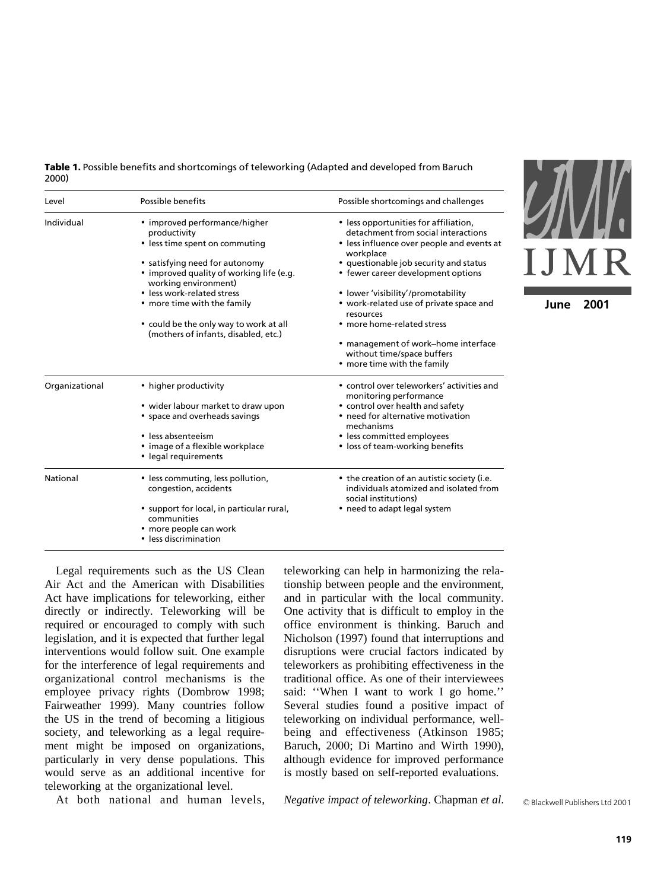Table 1. Possible benefits and shortcomings of teleworking (Adapted and developed from Baruch 2000)

| Level          | Possible benefits                                                                                           | Possible shortcomings and challenges                                                                                                    |
|----------------|-------------------------------------------------------------------------------------------------------------|-----------------------------------------------------------------------------------------------------------------------------------------|
| Individual     | • improved performance/higher<br>productivity<br>• less time spent on commuting                             | • less opportunities for affiliation,<br>detachment from social interactions<br>• less influence over people and events at<br>workplace |
|                | • satisfying need for autonomy<br>• improved quality of working life (e.g.<br>working environment)          | • questionable job security and status<br>• fewer career development options                                                            |
|                | • less work-related stress<br>• more time with the family                                                   | • lower 'visibility'/promotability<br>• work-related use of private space and<br>resources                                              |
|                | • could be the only way to work at all<br>(mothers of infants, disabled, etc.)                              | • more home-related stress                                                                                                              |
|                |                                                                                                             | • management of work-home interface<br>without time/space buffers<br>• more time with the family                                        |
| Organizational | • higher productivity                                                                                       | • control over teleworkers' activities and<br>monitoring performance                                                                    |
|                | • wider labour market to draw upon<br>• space and overheads savings                                         | • control over health and safety<br>• need for alternative motivation<br>mechanisms                                                     |
|                | · less absenteeism<br>• image of a flexible workplace<br>• legal requirements                               | • less committed employees<br>• loss of team-working benefits                                                                           |
| National       | • less commuting, less pollution,<br>congestion, accidents                                                  | • the creation of an autistic society (i.e.<br>individuals atomized and isolated from<br>social institutions)                           |
|                | • support for local, in particular rural,<br>communities<br>• more people can work<br>• less discrimination | • need to adapt legal system                                                                                                            |

Legal requirements such as the US Clean Air Act and the American with Disabilities Act have implications for teleworking, either directly or indirectly. Teleworking will be required or encouraged to comply with such legislation, and it is expected that further legal interventions would follow suit. One example for the interference of legal requirements and organizational control mechanisms is the employee privacy rights (Dombrow 1998; Fairweather 1999). Many countries follow the US in the trend of becoming a litigious society, and teleworking as a legal requirement might be imposed on organizations, particularly in very dense populations. This would serve as an additional incentive for teleworking at the organizational level.

At both national and human levels,

teleworking can help in harmonizing the relationship between people and the environment, and in particular with the local community. One activity that is difficult to employ in the office environment is thinking. Baruch and Nicholson (1997) found that interruptions and disruptions were crucial factors indicated by teleworkers as prohibiting effectiveness in the traditional office. As one of their interviewees said: ''When I want to work I go home.'' Several studies found a positive impact of teleworking on individual performance, wellbeing and effectiveness (Atkinson 1985; Baruch, 2000; Di Martino and Wirth 1990), although evidence for improved performance is mostly based on self-reported evaluations.

*Negative impact of teleworking*. Chapman *et al*.

June 2001

JM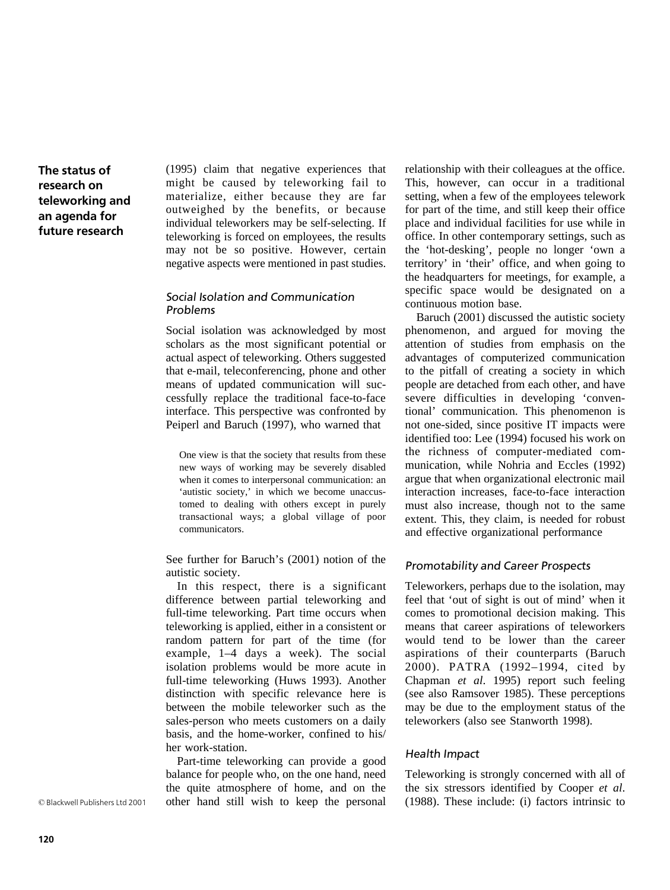(1995) claim that negative experiences that might be caused by teleworking fail to materialize, either because they are far outweighed by the benefits, or because individual teleworkers may be self-selecting. If teleworking is forced on employees, the results may not be so positive. However, certain negative aspects were mentioned in past studies.

# Social Isolation and Communication Problems

Social isolation was acknowledged by most scholars as the most significant potential or actual aspect of teleworking. Others suggested that e-mail, teleconferencing, phone and other means of updated communication will successfully replace the traditional face-to-face interface. This perspective was confronted by Peiperl and Baruch (1997), who warned that

One view is that the society that results from these new ways of working may be severely disabled when it comes to interpersonal communication: an 'autistic society,' in which we become unaccustomed to dealing with others except in purely transactional ways; a global village of poor communicators.

See further for Baruch's (2001) notion of the autistic society.

In this respect, there is a significant difference between partial teleworking and full-time teleworking. Part time occurs when teleworking is applied, either in a consistent or random pattern for part of the time (for example, 1–4 days a week). The social isolation problems would be more acute in full-time teleworking (Huws 1993). Another distinction with specific relevance here is between the mobile teleworker such as the sales-person who meets customers on a daily basis, and the home-worker, confined to his/ her work-station.

Part-time teleworking can provide a good balance for people who, on the one hand, need the quite atmosphere of home, and on the other hand still wish to keep the personal relationship with their colleagues at the office. This, however, can occur in a traditional setting, when a few of the employees telework for part of the time, and still keep their office place and individual facilities for use while in office. In other contemporary settings, such as the 'hot-desking', people no longer 'own a territory' in 'their' office, and when going to the headquarters for meetings, for example, a specific space would be designated on a continuous motion base.

Baruch (2001) discussed the autistic society phenomenon, and argued for moving the attention of studies from emphasis on the advantages of computerized communication to the pitfall of creating a society in which people are detached from each other, and have severe difficulties in developing 'conventional' communication. This phenomenon is not one-sided, since positive IT impacts were identified too: Lee (1994) focused his work on the richness of computer-mediated communication, while Nohria and Eccles (1992) argue that when organizational electronic mail interaction increases, face-to-face interaction must also increase, though not to the same extent. This, they claim, is needed for robust and effective organizational performance

#### Promotability and Career Prospects

Teleworkers, perhaps due to the isolation, may feel that 'out of sight is out of mind' when it comes to promotional decision making. This means that career aspirations of teleworkers would tend to be lower than the career aspirations of their counterparts (Baruch 2000). PATRA (1992–1994, cited by Chapman *et al*. 1995) report such feeling (see also Ramsover 1985). These perceptions may be due to the employment status of the teleworkers (also see Stanworth 1998).

#### Health Impact

Teleworking is strongly concerned with all of the six stressors identified by Cooper *et al*. (1988). These include: (i) factors intrinsic to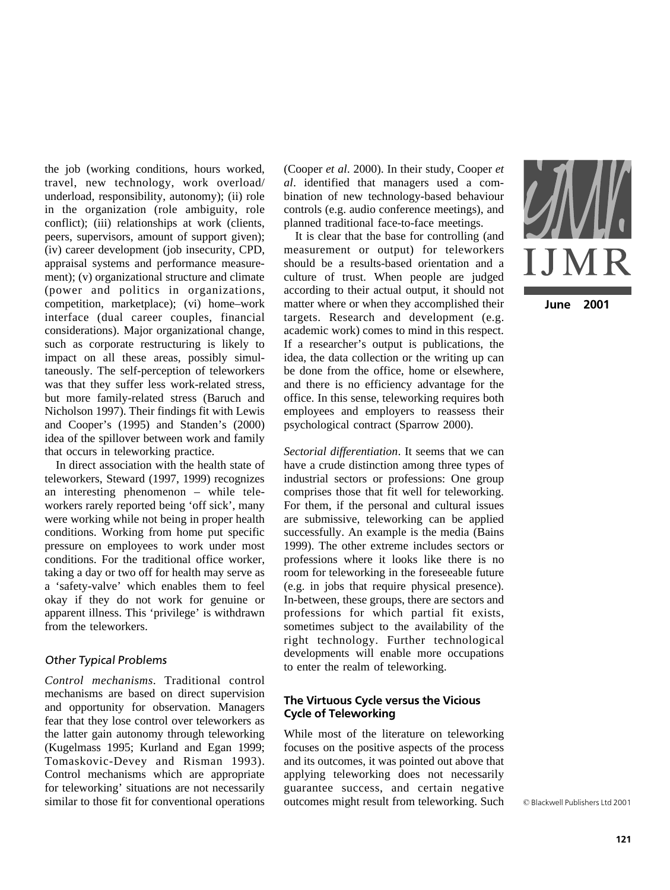the job (working conditions, hours worked, travel, new technology, work overload/ underload, responsibility, autonomy); (ii) role in the organization (role ambiguity, role conflict); (iii) relationships at work (clients, peers, supervisors, amount of support given); (iv) career development (job insecurity, CPD, appraisal systems and performance measurement); (v) organizational structure and climate (power and politics in organizations, competition, marketplace); (vi) home–work interface (dual career couples, financial considerations). Major organizational change, such as corporate restructuring is likely to impact on all these areas, possibly simultaneously. The self-perception of teleworkers was that they suffer less work-related stress, but more family-related stress (Baruch and Nicholson 1997). Their findings fit with Lewis and Cooper's (1995) and Standen's (2000) idea of the spillover between work and family that occurs in teleworking practice.

In direct association with the health state of teleworkers, Steward (1997, 1999) recognizes an interesting phenomenon – while teleworkers rarely reported being 'off sick', many were working while not being in proper health conditions. Working from home put specific pressure on employees to work under most conditions. For the traditional office worker, taking a day or two off for health may serve as a 'safety-valve' which enables them to feel okay if they do not work for genuine or apparent illness. This 'privilege' is withdrawn from the teleworkers.

#### Other Typical Problems

*Control mechanisms*. Traditional control mechanisms are based on direct supervision and opportunity for observation. Managers fear that they lose control over teleworkers as the latter gain autonomy through teleworking (Kugelmass 1995; Kurland and Egan 1999; Tomaskovic-Devey and Risman 1993). Control mechanisms which are appropriate for teleworking' situations are not necessarily similar to those fit for conventional operations (Cooper *et al*. 2000). In their study, Cooper *et al*. identified that managers used a combination of new technology-based behaviour controls (e.g. audio conference meetings), and planned traditional face-to-face meetings.

It is clear that the base for controlling (and measurement or output) for teleworkers should be a results-based orientation and a culture of trust. When people are judged according to their actual output, it should not matter where or when they accomplished their targets. Research and development (e.g. academic work) comes to mind in this respect. If a researcher's output is publications, the idea, the data collection or the writing up can be done from the office, home or elsewhere, and there is no efficiency advantage for the office. In this sense, teleworking requires both employees and employers to reassess their psychological contract (Sparrow 2000).

*Sectorial differentiation*. It seems that we can have a crude distinction among three types of industrial sectors or professions: One group comprises those that fit well for teleworking. For them, if the personal and cultural issues are submissive, teleworking can be applied successfully. An example is the media (Bains 1999). The other extreme includes sectors or professions where it looks like there is no room for teleworking in the foreseeable future (e.g. in jobs that require physical presence). In-between, these groups, there are sectors and professions for which partial fit exists, sometimes subject to the availability of the right technology. Further technological developments will enable more occupations to enter the realm of teleworking.

# The Virtuous Cycle versus the Vicious Cycle of Teleworking

While most of the literature on teleworking focuses on the positive aspects of the process and its outcomes, it was pointed out above that applying teleworking does not necessarily guarantee success, and certain negative outcomes might result from teleworking. Such



June 2001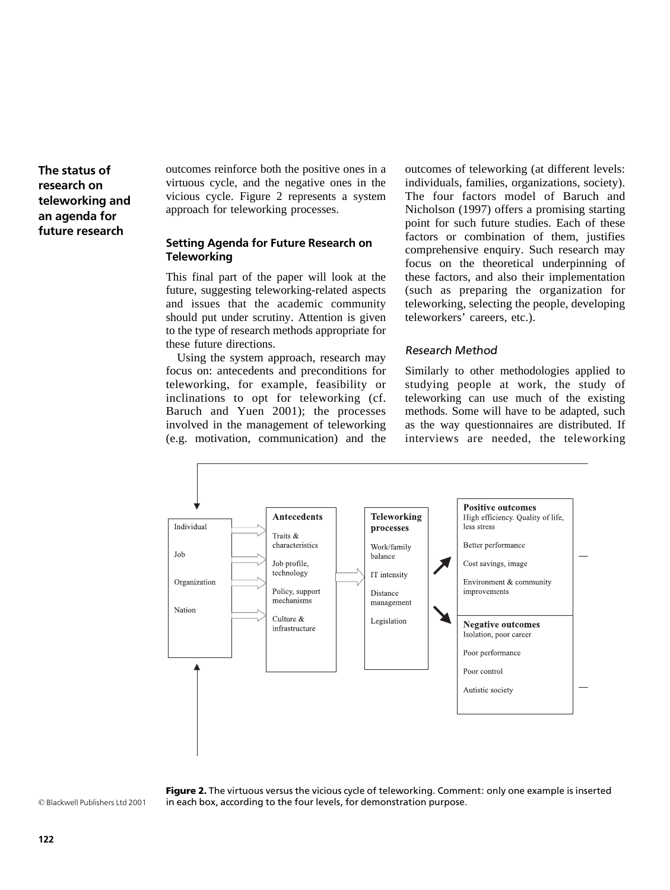outcomes reinforce both the positive ones in a virtuous cycle, and the negative ones in the vicious cycle. Figure 2 represents a system approach for teleworking processes.

# Setting Agenda for Future Research on **Teleworking**

This final part of the paper will look at the future, suggesting teleworking-related aspects and issues that the academic community should put under scrutiny. Attention is given to the type of research methods appropriate for these future directions.

Using the system approach, research may focus on: antecedents and preconditions for teleworking, for example, feasibility or inclinations to opt for teleworking (cf. Baruch and Yuen 2001); the processes involved in the management of teleworking (e.g. motivation, communication) and the

outcomes of teleworking (at different levels: individuals, families, organizations, society). The four factors model of Baruch and Nicholson (1997) offers a promising starting point for such future studies. Each of these factors or combination of them, justifies comprehensive enquiry. Such research may focus on the theoretical underpinning of these factors, and also their implementation (such as preparing the organization for teleworking, selecting the people, developing teleworkers' careers, etc.).

# Research Method

Similarly to other methodologies applied to studying people at work, the study of teleworking can use much of the existing methods. Some will have to be adapted, such as the way questionnaires are distributed. If interviews are needed, the teleworking



Figure 2. The virtuous versus the vicious cycle of teleworking. Comment: only one example is inserted in each box, according to the four levels, for demonstration purpose.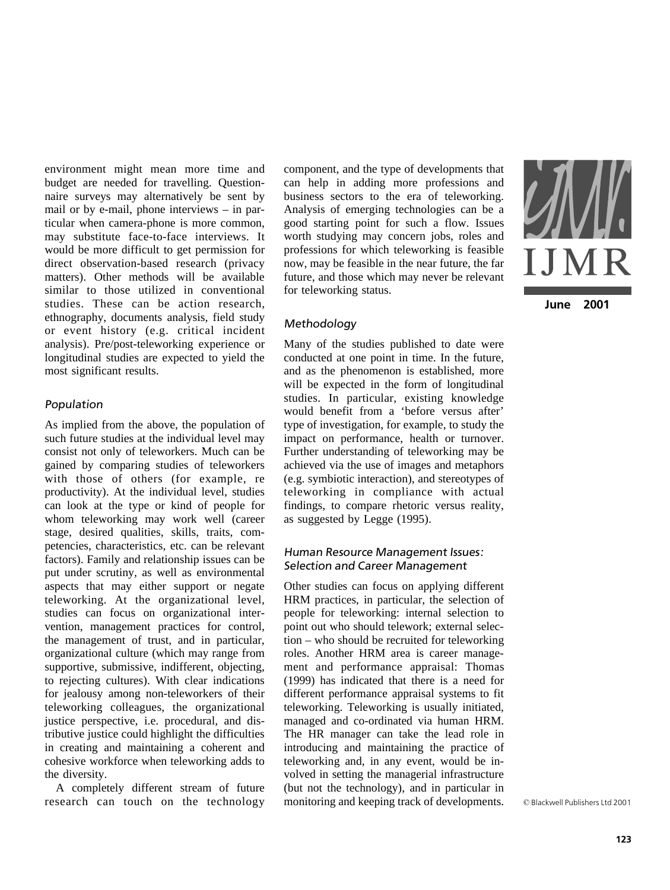environment might mean more time and budget are needed for travelling. Questionnaire surveys may alternatively be sent by mail or by e-mail, phone interviews – in particular when camera-phone is more common, may substitute face-to-face interviews. It would be more difficult to get permission for direct observation-based research (privacy matters). Other methods will be available similar to those utilized in conventional studies. These can be action research, ethnography, documents analysis, field study or event history (e.g. critical incident analysis). Pre/post-teleworking experience or longitudinal studies are expected to yield the most significant results.

#### Population

As implied from the above, the population of such future studies at the individual level may consist not only of teleworkers. Much can be gained by comparing studies of teleworkers with those of others (for example, re productivity). At the individual level, studies can look at the type or kind of people for whom teleworking may work well (career stage, desired qualities, skills, traits, competencies, characteristics, etc. can be relevant factors). Family and relationship issues can be put under scrutiny, as well as environmental aspects that may either support or negate teleworking. At the organizational level, studies can focus on organizational intervention, management practices for control, the management of trust, and in particular, organizational culture (which may range from supportive, submissive, indifferent, objecting, to rejecting cultures). With clear indications for jealousy among non-teleworkers of their teleworking colleagues, the organizational justice perspective, i.e. procedural, and distributive justice could highlight the difficulties in creating and maintaining a coherent and cohesive workforce when teleworking adds to the diversity.

A completely different stream of future research can touch on the technology component, and the type of developments that can help in adding more professions and business sectors to the era of teleworking. Analysis of emerging technologies can be a good starting point for such a flow. Issues worth studying may concern jobs, roles and professions for which teleworking is feasible now, may be feasible in the near future, the far future, and those which may never be relevant for teleworking status.



June 2001

#### Methodology

Many of the studies published to date were conducted at one point in time. In the future, and as the phenomenon is established, more will be expected in the form of longitudinal studies. In particular, existing knowledge would benefit from a 'before versus after' type of investigation, for example, to study the impact on performance, health or turnover. Further understanding of teleworking may be achieved via the use of images and metaphors (e.g. symbiotic interaction), and stereotypes of teleworking in compliance with actual findings, to compare rhetoric versus reality, as suggested by Legge (1995).

# Human Resource Management Issues: Selection and Career Management

Other studies can focus on applying different HRM practices, in particular, the selection of people for teleworking: internal selection to point out who should telework; external selection – who should be recruited for teleworking roles. Another HRM area is career management and performance appraisal: Thomas (1999) has indicated that there is a need for different performance appraisal systems to fit teleworking. Teleworking is usually initiated, managed and co-ordinated via human HRM. The HR manager can take the lead role in introducing and maintaining the practice of teleworking and, in any event, would be involved in setting the managerial infrastructure (but not the technology), and in particular in monitoring and keeping track of developments.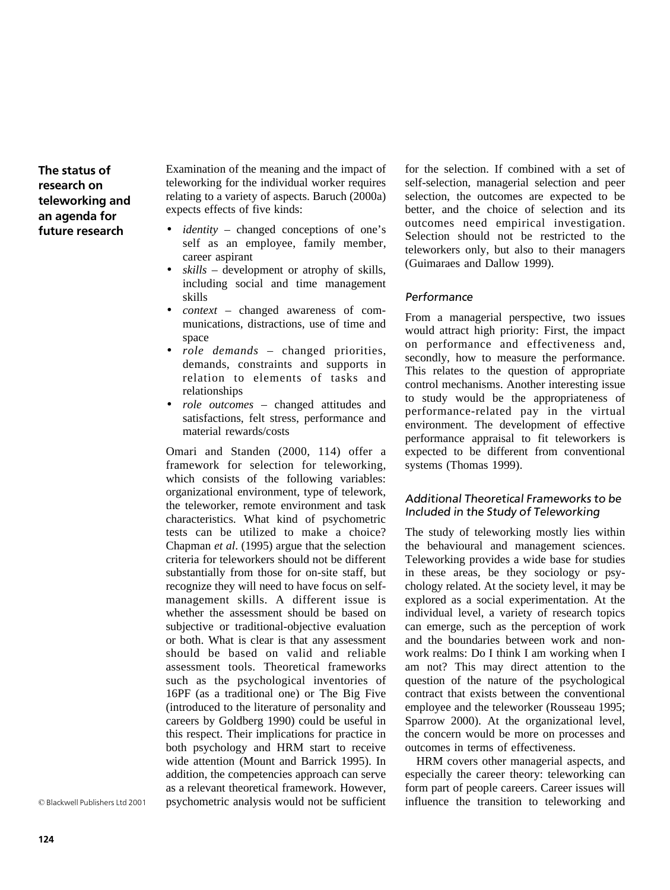Examination of the meaning and the impact of teleworking for the individual worker requires relating to a variety of aspects. Baruch (2000a) expects effects of five kinds:

- *identity* changed conceptions of one's self as an employee, family member, career aspirant
- *skills* development or atrophy of skills, including social and time management skills
- *context* changed awareness of communications, distractions, use of time and space
- *role demands* changed priorities, demands, constraints and supports in relation to elements of tasks and relationships
- *role outcomes* changed attitudes and satisfactions, felt stress, performance and material rewards/costs

Omari and Standen (2000, 114) offer a framework for selection for teleworking, which consists of the following variables: organizational environment, type of telework, the teleworker, remote environment and task characteristics. What kind of psychometric tests can be utilized to make a choice? Chapman *et al*. (1995) argue that the selection criteria for teleworkers should not be different substantially from those for on-site staff, but recognize they will need to have focus on selfmanagement skills. A different issue is whether the assessment should be based on subjective or traditional-objective evaluation or both. What is clear is that any assessment should be based on valid and reliable assessment tools. Theoretical frameworks such as the psychological inventories of 16PF (as a traditional one) or The Big Five (introduced to the literature of personality and careers by Goldberg 1990) could be useful in this respect. Their implications for practice in both psychology and HRM start to receive wide attention (Mount and Barrick 1995). In addition, the competencies approach can serve as a relevant theoretical framework. However, psychometric analysis would not be sufficient

for the selection. If combined with a set of self-selection, managerial selection and peer selection, the outcomes are expected to be better, and the choice of selection and its outcomes need empirical investigation. Selection should not be restricted to the teleworkers only, but also to their managers (Guimaraes and Dallow 1999).

# Performance

From a managerial perspective, two issues would attract high priority: First, the impact on performance and effectiveness and, secondly, how to measure the performance. This relates to the question of appropriate control mechanisms. Another interesting issue to study would be the appropriateness of performance-related pay in the virtual environment. The development of effective performance appraisal to fit teleworkers is expected to be different from conventional systems (Thomas 1999).

# Additional Theoretical Frameworks to be Included in the Study of Teleworking

The study of teleworking mostly lies within the behavioural and management sciences. Teleworking provides a wide base for studies in these areas, be they sociology or psychology related. At the society level, it may be explored as a social experimentation. At the individual level, a variety of research topics can emerge, such as the perception of work and the boundaries between work and nonwork realms: Do I think I am working when I am not? This may direct attention to the question of the nature of the psychological contract that exists between the conventional employee and the teleworker (Rousseau 1995; Sparrow 2000). At the organizational level, the concern would be more on processes and outcomes in terms of effectiveness.

HRM covers other managerial aspects, and especially the career theory: teleworking can form part of people careers. Career issues will influence the transition to teleworking and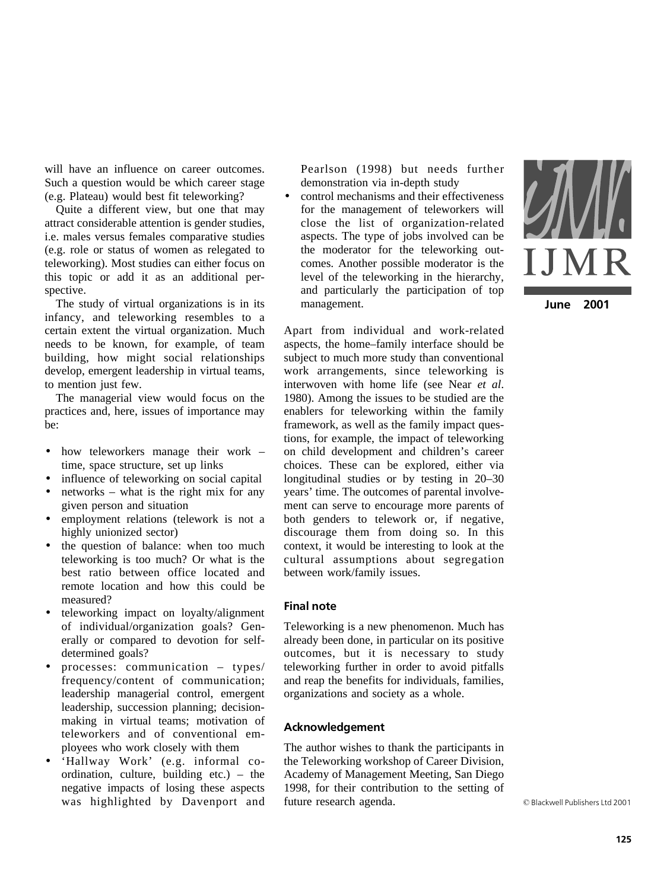will have an influence on career outcomes. Such a question would be which career stage (e.g. Plateau) would best fit teleworking?

Quite a different view, but one that may attract considerable attention is gender studies, i.e. males versus females comparative studies (e.g. role or status of women as relegated to teleworking). Most studies can either focus on this topic or add it as an additional perspective.

The study of virtual organizations is in its infancy, and teleworking resembles to a certain extent the virtual organization. Much needs to be known, for example, of team building, how might social relationships develop, emergent leadership in virtual teams, to mention just few.

The managerial view would focus on the practices and, here, issues of importance may be:

- how teleworkers manage their work time, space structure, set up links
- influence of teleworking on social capital
- networks what is the right mix for any given person and situation
- employment relations (telework is not a highly unionized sector)
- the question of balance: when too much teleworking is too much? Or what is the best ratio between office located and remote location and how this could be measured?
- teleworking impact on loyalty/alignment of individual/organization goals? Generally or compared to devotion for selfdetermined goals?
- processes: communication types/ frequency/content of communication; leadership managerial control, emergent leadership, succession planning; decisionmaking in virtual teams; motivation of teleworkers and of conventional employees who work closely with them
- 'Hallway Work' (e.g. informal coordination, culture, building etc.) – the negative impacts of losing these aspects was highlighted by Davenport and

Pearlson (1998) but needs further demonstration via in-depth study

• control mechanisms and their effectiveness for the management of teleworkers will close the list of organization-related aspects. The type of jobs involved can be the moderator for the teleworking outcomes. Another possible moderator is the level of the teleworking in the hierarchy, and particularly the participation of top management.

Apart from individual and work-related aspects, the home–family interface should be subject to much more study than conventional work arrangements, since teleworking is interwoven with home life (see Near *et al*. 1980). Among the issues to be studied are the enablers for teleworking within the family framework, as well as the family impact questions, for example, the impact of teleworking on child development and children's career choices. These can be explored, either via longitudinal studies or by testing in 20–30 years' time. The outcomes of parental involvement can serve to encourage more parents of both genders to telework or, if negative, discourage them from doing so. In this context, it would be interesting to look at the cultural assumptions about segregation between work/family issues.

#### Final note

Teleworking is a new phenomenon. Much has already been done, in particular on its positive outcomes, but it is necessary to study teleworking further in order to avoid pitfalls and reap the benefits for individuals, families, organizations and society as a whole.

# Acknowledgement

The author wishes to thank the participants in the Teleworking workshop of Career Division, Academy of Management Meeting, San Diego 1998, for their contribution to the setting of future research agenda.



June 2001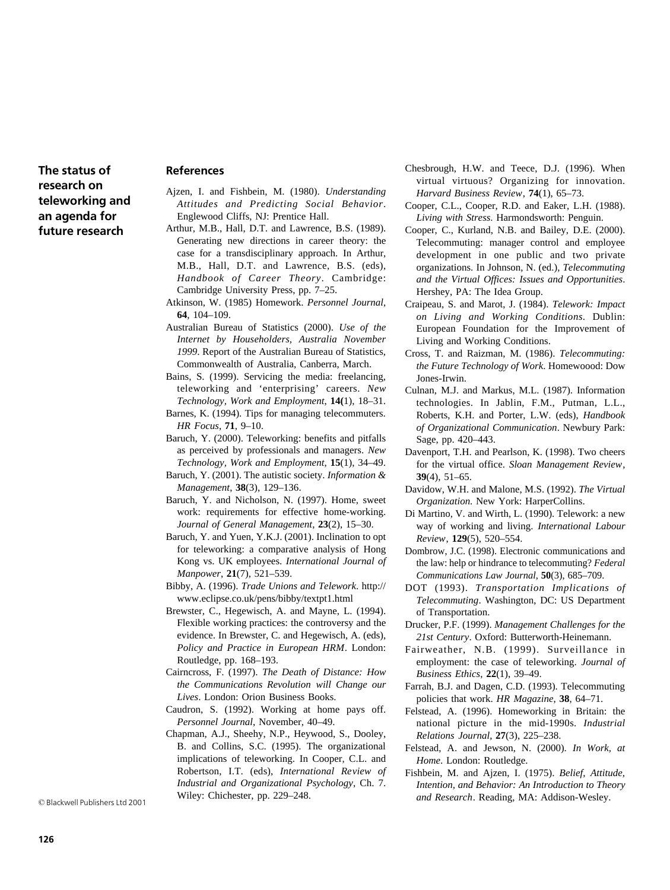# References

- Ajzen, I. and Fishbein, M. (1980). *Understanding Attitudes and Predicting Social Behavior*. Englewood Cliffs, NJ: Prentice Hall.
- Arthur, M.B., Hall, D.T. and Lawrence, B.S. (1989). Generating new directions in career theory: the case for a transdisciplinary approach. In Arthur, M.B., Hall, D.T. and Lawrence, B.S. (eds), *Handbook of Career Theory*. Cambridge: Cambridge University Press, pp. 7–25.
- Atkinson, W. (1985) Homework. *Personnel Journal*, **64**, 104–109.
- Australian Bureau of Statistics (2000). *Use of the Internet by Householders, Australia November 1999*. Report of the Australian Bureau of Statistics, Commonwealth of Australia, Canberra, March.
- Bains, S. (1999). Servicing the media: freelancing, teleworking and 'enterprising' careers. *New Technology, Work and Employment*, **14(**1), 18–31. Barnes, K. (1994). Tips for managing telecommuters.
	- *HR Focus*, **71**, 9–10.
- Baruch, Y. (2000). Teleworking: benefits and pitfalls as perceived by professionals and managers. *New Technology, Work and Employment*, **15**(1), 34–49.
- Baruch, Y. (2001). The autistic society. *Information & Management*, **38**(3), 129–136.
- Baruch, Y. and Nicholson, N. (1997). Home, sweet work: requirements for effective home-working. *Journal of General Management*, **23**(2), 15–30.
- Baruch, Y. and Yuen, Y.K.J. (2001). Inclination to opt for teleworking: a comparative analysis of Hong Kong vs. UK employees. *International Journal of Manpower*, **21**(7), 521–539.
- Bibby, A. (1996). *Trade Unions and Telework*. http:// www.eclipse.co.uk/pens/bibby/textpt1.html
- Brewster, C., Hegewisch, A. and Mayne, L. (1994). Flexible working practices: the controversy and the evidence. In Brewster, C. and Hegewisch, A. (eds), *Policy and Practice in European HRM*. London: Routledge, pp. 168–193.
- Cairncross, F. (1997). *The Death of Distance: How the Communications Revolution will Change our Lives*. London: Orion Business Books.
- Caudron, S. (1992). Working at home pays off. *Personnel Journal*, November, 40–49.
- Chapman, A.J., Sheehy, N.P., Heywood, S., Dooley, B. and Collins, S.C. (1995). The organizational implications of teleworking. In Cooper, C.L. and Robertson, I.T. (eds), *International Review of Industrial and Organizational Psychology*, Ch. 7. Wiley: Chichester, pp. 229–248.
- Chesbrough, H.W. and Teece, D.J. (1996). When virtual virtuous? Organizing for innovation. *Harvard Business Review*, **74**(1), 65–73.
- Cooper, C.L., Cooper, R.D. and Eaker, L.H. (1988). *Living with Stress*. Harmondsworth: Penguin.
- Cooper, C., Kurland, N.B. and Bailey, D.E. (2000). Telecommuting: manager control and employee development in one public and two private organizations. In Johnson, N. (ed.), *Telecommuting and the Virtual Offices: Issues and Opportunities*. Hershey, PA: The Idea Group.
- Craipeau, S. and Marot, J. (1984). *Telework: Impact on Living and Working Conditions*. Dublin: European Foundation for the Improvement of Living and Working Conditions.
- Cross, T. and Raizman, M. (1986). *Telecommuting: the Future Technology of Work*. Homewoood: Dow Jones-Irwin.
- Culnan, M.J. and Markus, M.L. (1987). Information technologies. In Jablin, F.M., Putman, L.L., Roberts, K.H. and Porter, L.W. (eds), *Handbook of Organizational Communication*. Newbury Park: Sage, pp. 420–443.
- Davenport, T.H. and Pearlson, K. (1998). Two cheers for the virtual office. *Sloan Management Review*, **39**(4), 51–65.
- Davidow, W.H. and Malone, M.S. (1992). *The Virtual Organization*. New York: HarperCollins.
- Di Martino, V. and Wirth, L. (1990). Telework: a new way of working and living. *International Labour Review*, **129**(5), 520–554.
- Dombrow, J.C. (1998). Electronic communications and the law: help or hindrance to telecommuting? *Federal Communications Law Journal*, **50**(3), 685–709.
- DOT (1993). *Transportation Implications of Telecommuting*. Washington, DC: US Department of Transportation.
- Drucker, P.F. (1999). *Management Challenges for the 21st Century*. Oxford: Butterworth-Heinemann.
- Fairweather, N.B. (1999). Surveillance in employment: the case of teleworking. *Journal of Business Ethics*, **22**(1), 39–49.
- Farrah, B.J. and Dagen, C.D. (1993). Telecommuting policies that work. *HR Magazine*, **38**, 64–71.
- Felstead, A. (1996). Homeworking in Britain: the national picture in the mid-1990s. *Industrial Relations Journal*, **27**(3), 225–238.
- Felstead, A. and Jewson, N. (2000). *In Work, at Home*. London: Routledge.
- Fishbein, M. and Ajzen, I. (1975). *Belief, Attitude, Intention, and Behavior: An Introduction to Theory and Research*. Reading, MA: Addison-Wesley.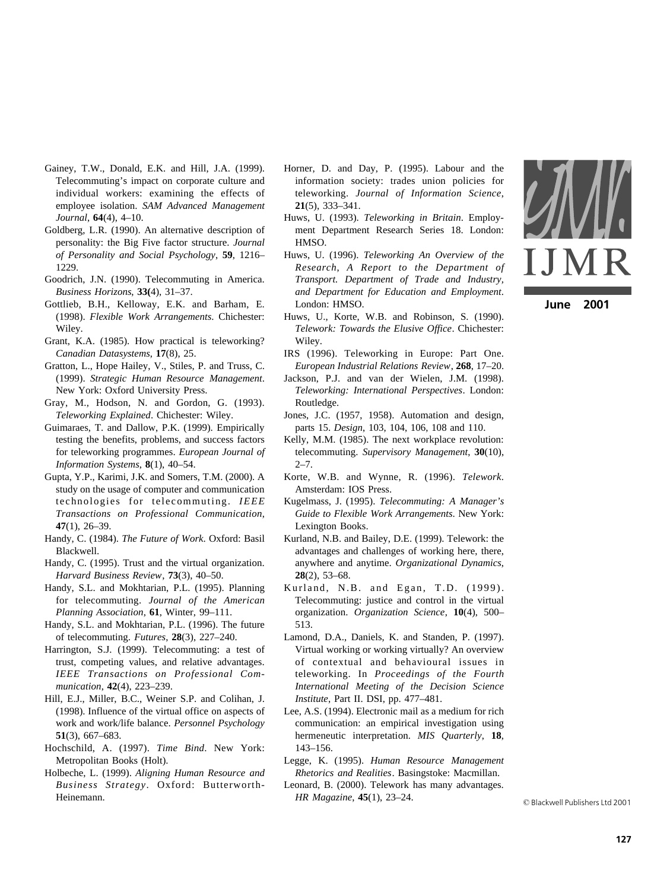- Gainey, T.W., Donald, E.K. and Hill, J.A. (1999). Telecommuting's impact on corporate culture and individual workers: examining the effects of employee isolation. *SAM Advanced Management Journal*, **64**(4), 4–10.
- Goldberg, L.R. (1990). An alternative description of personality: the Big Five factor structure. *Journal of Personality and Social Psychology*, **59**, 1216– 1229.
- Goodrich, J.N. (1990). Telecommuting in America. *Business Horizons*, **33(**4), 31–37.
- Gottlieb, B.H., Kelloway, E.K. and Barham, E. (1998). *Flexible Work Arrangements*. Chichester: Wiley.
- Grant, K.A. (1985). How practical is teleworking? *Canadian Datasystems*, **17**(8), 25.
- Gratton, L., Hope Hailey, V., Stiles, P. and Truss, C. (1999). *Strategic Human Resource Management*. New York: Oxford University Press.
- Gray, M., Hodson, N. and Gordon, G. (1993). *Teleworking Explained*. Chichester: Wiley.
- Guimaraes, T. and Dallow, P.K. (1999). Empirically testing the benefits, problems, and success factors for teleworking programmes. *European Journal of Information Systems*, **8**(1), 40–54.
- Gupta, Y.P., Karimi, J.K. and Somers, T.M. (2000). A study on the usage of computer and communication technologies for telecommuting. *IEEE Transactions on Professional Communication*, **47**(1), 26–39.
- Handy, C. (1984). *The Future of Work*. Oxford: Basil Blackwell.
- Handy, C. (1995). Trust and the virtual organization. *Harvard Business Review*, **73**(3), 40–50.
- Handy, S.L. and Mokhtarian, P.L. (1995). Planning for telecommuting. *Journal of the American Planning Association*, **61**, Winter, 99–111.
- Handy, S.L. and Mokhtarian, P.L. (1996). The future of telecommuting. *Futures*, **28**(3), 227–240.
- Harrington, S.J. (1999). Telecommuting: a test of trust, competing values, and relative advantages. *IEEE Transactions on Professional Communication*, **42**(4), 223–239.
- Hill, E.J., Miller, B.C., Weiner S.P. and Colihan, J. (1998). Influence of the virtual office on aspects of work and work/life balance. *Personnel Psychology* **51**(3), 667–683.
- Hochschild, A. (1997). *Time Bind*. New York: Metropolitan Books (Holt).
- Holbeche, L. (1999). *Aligning Human Resource and Business Strategy*. Oxford: Butterworth-Heinemann.
- Horner, D. and Day, P. (1995). Labour and the information society: trades union policies for teleworking. *Journal of Information Science*, **21**(5), 333–341.
- Huws, U. (1993). *Teleworking in Britain*. Employment Department Research Series 18. London: HMSO.
- Huws, U. (1996). *Teleworking An Overview of the Research*, *A Report to the Department of Transport. Department of Trade and Industry, and Department for Education and Employment*. London: HMSO.
- Huws, U., Korte, W.B. and Robinson, S. (1990). *Telework: Towards the Elusive Office*. Chichester: Wiley.
- IRS (1996). Teleworking in Europe: Part One. *European Industrial Relations Review*, **268**, 17–20.
- Jackson, P.J. and van der Wielen, J.M. (1998). *Teleworking: International Perspectives*. London: Routledge.
- Jones, J.C. (1957, 1958). Automation and design, parts 15. *Design*, 103, 104, 106, 108 and 110.
- Kelly, M.M. (1985). The next workplace revolution: telecommuting. *Supervisory Management*, **30**(10), 2–7.
- Korte, W.B. and Wynne, R. (1996). *Telework*. Amsterdam: IOS Press.
- Kugelmass, J. (1995). *Telecommuting: A Manager's Guide to Flexible Work Arrangements*. New York: Lexington Books.
- Kurland, N.B. and Bailey, D.E. (1999). Telework: the advantages and challenges of working here, there, anywhere and anytime. *Organizational Dynamics*, **28**(2), 53–68.
- Kurland, N.B. and Egan, T.D. (1999). Telecommuting: justice and control in the virtual organization. *Organization Science*, **10**(4), 500– 513.
- Lamond, D.A., Daniels, K. and Standen, P. (1997). Virtual working or working virtually? An overview of contextual and behavioural issues in teleworking. In *Proceedings of the Fourth International Meeting of the Decision Science Institute*, Part II. DSI, pp. 477–481.
- Lee, A.S. (1994). Electronic mail as a medium for rich communication: an empirical investigation using hermeneutic interpretation. *MIS Quarterly*, **18**, 143–156.
- Legge, K. (1995). *Human Resource Management Rhetorics and Realities*. Basingstoke: Macmillan.
- Leonard, B. (2000). Telework has many advantages. *HR Magazine*, **45**(1), 23–24.



June 2001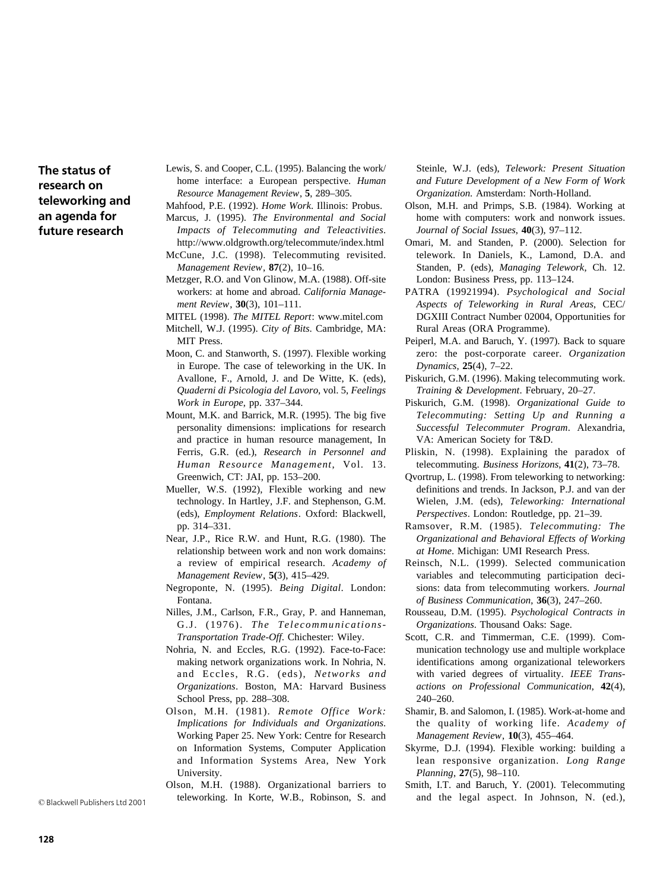Lewis, S. and Cooper, C.L. (1995). Balancing the work/ home interface: a European perspective. *Human Resource Management Review*, **5**, 289–305.

Mahfood, P.E. (1992). *Home Work*. Illinois: Probus.

- Marcus, J. (1995). *The Environmental and Social Impacts of Telecommuting and Teleactivities*. http://www.oldgrowth.org/telecommute/index.html
- McCune, J.C. (1998). Telecommuting revisited. *Management Review*, **87**(2), 10–16.
- Metzger, R.O. and Von Glinow, M.A. (1988). Off-site workers: at home and abroad. *California Management Review*, **30**(3), 101–111.
- MITEL (1998). *The MITEL Report*: www.mitel.com
- Mitchell, W.J. (1995). *City of Bits*. Cambridge, MA: MIT Press.
- Moon, C. and Stanworth, S. (1997). Flexible working in Europe. The case of teleworking in the UK. In Avallone, F., Arnold, J. and De Witte, K. (eds), *Quaderni di Psicologia del Lavoro*, vol. 5, *Feelings Work in Europe*, pp. 337–344.
- Mount, M.K. and Barrick, M.R. (1995). The big five personality dimensions: implications for research and practice in human resource management, In Ferris, G.R. (ed.), *Research in Personnel and Human Resource Management*, Vol. 13. Greenwich, CT: JAI, pp. 153–200.
- Mueller, W.S. (1992), Flexible working and new technology. In Hartley, J.F. and Stephenson, G.M. (eds), *Employment Relations*. Oxford: Blackwell, pp. 314–331.
- Near, J.P., Rice R.W. and Hunt, R.G. (1980). The relationship between work and non work domains: a review of empirical research. *Academy of Management Review*, **5(**3), 415–429.
- Negroponte, N. (1995). *Being Digital*. London: Fontana.
- Nilles, J.M., Carlson, F.R., Gray, P. and Hanneman, G.J. (1976). *The Telecommunications-Transportation Trade-Off*. Chichester: Wiley.
- Nohria, N. and Eccles, R.G. (1992). Face-to-Face: making network organizations work. In Nohria, N. and Eccles, R.G. (eds), *Networks and Organizations*. Boston, MA: Harvard Business School Press, pp. 288–308.
- Olson, M.H. (1981). *Remote Office Work: Implications for Individuals and Organizations*. Working Paper 25. New York: Centre for Research on Information Systems, Computer Application and Information Systems Area, New York University.
- Olson, M.H. (1988). Organizational barriers to teleworking. In Korte, W.B., Robinson, S. and

Steinle, W.J. (eds), *Telework: Present Situation and Future Development of a New Form of Work Organization*. Amsterdam: North-Holland.

- Olson, M.H. and Primps, S.B. (1984). Working at home with computers: work and nonwork issues. *Journal of Social Issues*, **40**(3), 97–112.
- Omari, M. and Standen, P. (2000). Selection for telework. In Daniels, K., Lamond, D.A. and Standen, P. (eds), *Managing Telework*, Ch. 12. London: Business Press, pp. 113–124.
- PATRA (19921994). *Psychological and Social Aspects of Teleworking in Rural Areas*, CEC/ DGXIII Contract Number 02004, Opportunities for Rural Areas (ORA Programme).
- Peiperl, M.A. and Baruch, Y. (1997). Back to square zero: the post-corporate career. *Organization Dynamics*, **25**(4), 7–22.
- Piskurich, G.M. (1996). Making telecommuting work. *Training & Development*. February, 20–27.
- Piskurich, G.M. (1998). *Organizational Guide to Telecommuting: Setting Up and Running a Successful Telecommuter Program*. Alexandria, VA: American Society for T&D.
- Pliskin, N. (1998). Explaining the paradox of telecommuting. *Business Horizons*, **41**(2), 73–78.
- Qvortrup, L. (1998). From teleworking to networking: definitions and trends. In Jackson, P.J. and van der Wielen, J.M. (eds), *Teleworking: International Perspectives*. London: Routledge, pp. 21–39.
- Ramsover, R.M. (1985). *Telecommuting: The Organizational and Behavioral Effects of Working at Home*. Michigan: UMI Research Press.
- Reinsch, N.L. (1999). Selected communication variables and telecommuting participation decisions: data from telecommuting workers. *Journal of Business Communication*, **36**(3), 247–260.
- Rousseau, D.M. (1995). *Psychological Contracts in Organizations*. Thousand Oaks: Sage.
- Scott, C.R. and Timmerman, C.E. (1999). Communication technology use and multiple workplace identifications among organizational teleworkers with varied degrees of virtuality. *IEEE Transactions on Professional Communication*, **42**(4), 240–260.
- Shamir, B. and Salomon, I. (1985). Work-at-home and the quality of working life. *Academy of Management Review*, **10**(3), 455–464.
- Skyrme, D.J. (1994). Flexible working: building a lean responsive organization. *Long Range Planning*, **27**(5), 98–110.
- Smith, I.T. and Baruch, Y. (2001). Telecommuting and the legal aspect. In Johnson, N. (ed.),